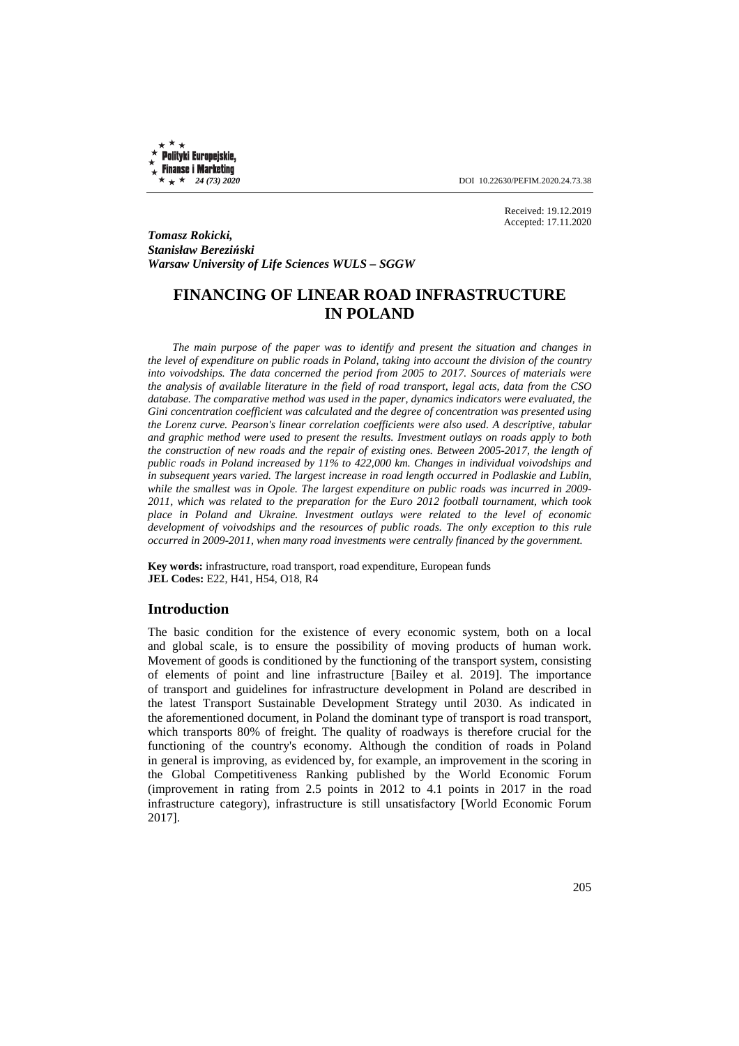Polityki Europejskie, **Finanse i Marketing** 

 $\star \star \star 24$  (73) 2020 **DOI** 10.22630/PEFIM.2020.24.73.38

Received: 19.12.2019 Accepted: 17.11.2020

*Tomasz Rokicki, Stanisław Bereziński Warsaw University of Life Sciences WULS – SGGW* 

# **FINANCING OF LINEAR ROAD INFRASTRUCTURE IN POLAND**

*The main purpose of the paper was to identify and present the situation and changes in the level of expenditure on public roads in Poland, taking into account the division of the country into voivodships. The data concerned the period from 2005 to 2017. Sources of materials were the analysis of available literature in the field of road transport, legal acts, data from the CSO database. The comparative method was used in the paper, dynamics indicators were evaluated, the Gini concentration coefficient was calculated and the degree of concentration was presented using the Lorenz curve. Pearson's linear correlation coefficients were also used. A descriptive, tabular and graphic method were used to present the results. Investment outlays on roads apply to both the construction of new roads and the repair of existing ones. Between 2005-2017, the length of public roads in Poland increased by 11% to 422,000 km. Changes in individual voivodships and in subsequent years varied. The largest increase in road length occurred in Podlaskie and Lublin, while the smallest was in Opole. The largest expenditure on public roads was incurred in 2009- 2011, which was related to the preparation for the Euro 2012 football tournament, which took place in Poland and Ukraine. Investment outlays were related to the level of economic development of voivodships and the resources of public roads. The only exception to this rule occurred in 2009-2011, when many road investments were centrally financed by the government.* 

**Key words:** infrastructure, road transport, road expenditure, European funds **JEL Codes:** E22, H41, H54, O18, R4

#### **Introduction**

The basic condition for the existence of every economic system, both on a local and global scale, is to ensure the possibility of moving products of human work. Movement of goods is conditioned by the functioning of the transport system, consisting of elements of point and line infrastructure [Bailey et al. 2019]. The importance of transport and guidelines for infrastructure development in Poland are described in the latest Transport Sustainable Development Strategy until 2030. As indicated in the aforementioned document, in Poland the dominant type of transport is road transport, which transports 80% of freight. The quality of roadways is therefore crucial for the functioning of the country's economy. Although the condition of roads in Poland in general is improving, as evidenced by, for example, an improvement in the scoring in the Global Competitiveness Ranking published by the World Economic Forum (improvement in rating from 2.5 points in 2012 to 4.1 points in 2017 in the road infrastructure category), infrastructure is still unsatisfactory [World Economic Forum 2017].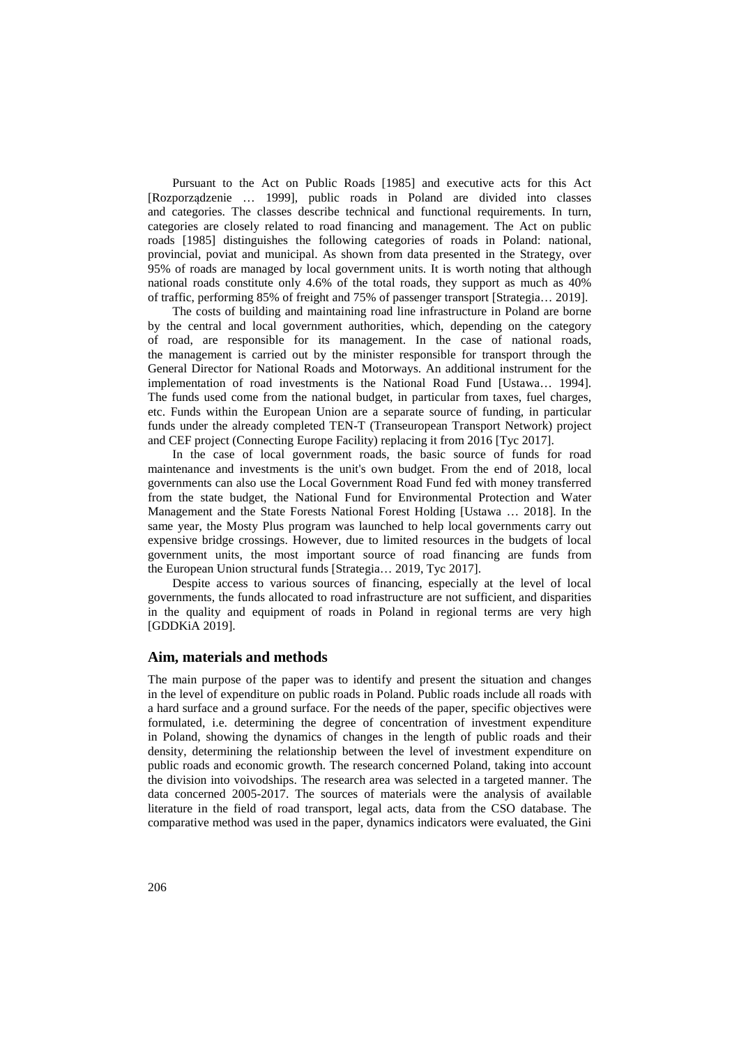Pursuant to the Act on Public Roads [1985] and executive acts for this Act [Rozporządzenie … 1999], public roads in Poland are divided into classes and categories. The classes describe technical and functional requirements. In turn, categories are closely related to road financing and management. The Act on public roads [1985] distinguishes the following categories of roads in Poland: national, provincial, poviat and municipal. As shown from data presented in the Strategy, over 95% of roads are managed by local government units. It is worth noting that although national roads constitute only 4.6% of the total roads, they support as much as 40% of traffic, performing 85% of freight and 75% of passenger transport [Strategia… 2019].

The costs of building and maintaining road line infrastructure in Poland are borne by the central and local government authorities, which, depending on the category of road, are responsible for its management. In the case of national roads, the management is carried out by the minister responsible for transport through the General Director for National Roads and Motorways. An additional instrument for the implementation of road investments is the National Road Fund [Ustawa… 1994]. The funds used come from the national budget, in particular from taxes, fuel charges, etc. Funds within the European Union are a separate source of funding, in particular funds under the already completed TEN-T (Transeuropean Transport Network) project and CEF project (Connecting Europe Facility) replacing it from 2016 [Tyc 2017].

In the case of local government roads, the basic source of funds for road maintenance and investments is the unit's own budget. From the end of 2018, local governments can also use the Local Government Road Fund fed with money transferred from the state budget, the National Fund for Environmental Protection and Water Management and the State Forests National Forest Holding [Ustawa … 2018]. In the same year, the Mosty Plus program was launched to help local governments carry out expensive bridge crossings. However, due to limited resources in the budgets of local government units, the most important source of road financing are funds from the European Union structural funds [Strategia… 2019, Tyc 2017].

Despite access to various sources of financing, especially at the level of local governments, the funds allocated to road infrastructure are not sufficient, and disparities in the quality and equipment of roads in Poland in regional terms are very high [GDDKiA 2019].

#### **Aim, materials and methods**

The main purpose of the paper was to identify and present the situation and changes in the level of expenditure on public roads in Poland. Public roads include all roads with a hard surface and a ground surface. For the needs of the paper, specific objectives were formulated, i.e. determining the degree of concentration of investment expenditure in Poland, showing the dynamics of changes in the length of public roads and their density, determining the relationship between the level of investment expenditure on public roads and economic growth. The research concerned Poland, taking into account the division into voivodships. The research area was selected in a targeted manner. The data concerned 2005-2017. The sources of materials were the analysis of available literature in the field of road transport, legal acts, data from the CSO database. The comparative method was used in the paper, dynamics indicators were evaluated, the Gini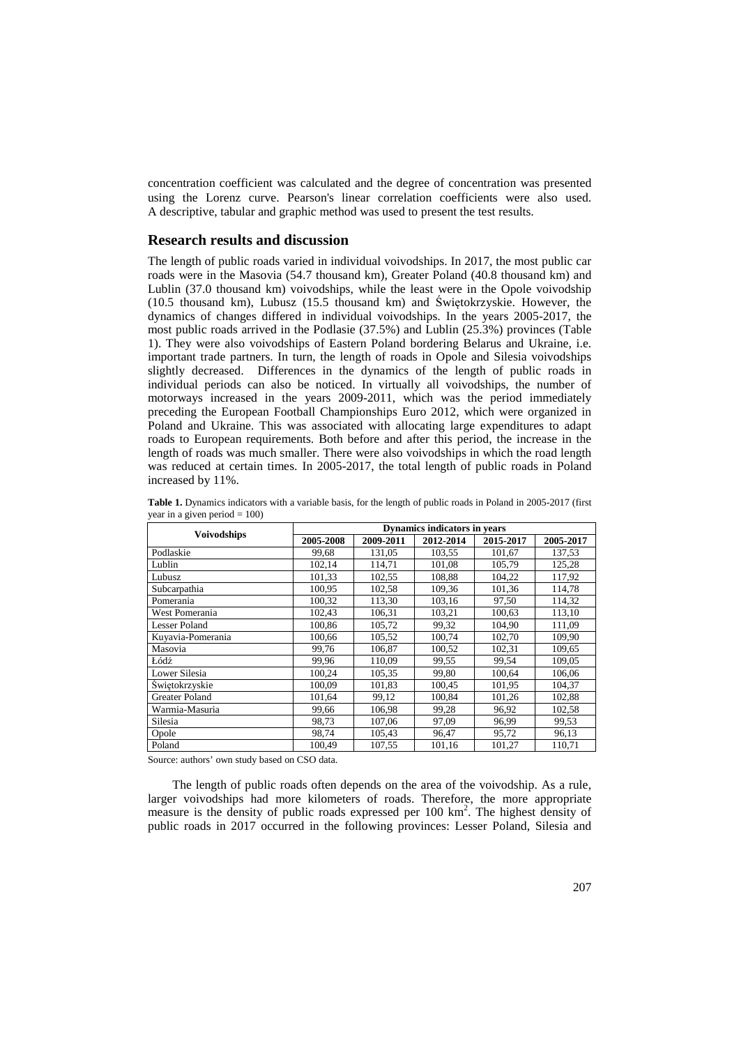concentration coefficient was calculated and the degree of concentration was presented using the Lorenz curve. Pearson's linear correlation coefficients were also used. A descriptive, tabular and graphic method was used to present the test results.

#### **Research results and discussion**

The length of public roads varied in individual voivodships. In 2017, the most public car roads were in the Masovia (54.7 thousand km), Greater Poland (40.8 thousand km) and Lublin (37.0 thousand km) voivodships, while the least were in the Opole voivodship (10.5 thousand km), Lubusz (15.5 thousand km) and Świętokrzyskie. However, the dynamics of changes differed in individual voivodships. In the years 2005-2017, the most public roads arrived in the Podlasie (37.5%) and Lublin (25.3%) provinces (Table 1). They were also voivodships of Eastern Poland bordering Belarus and Ukraine, i.e. important trade partners. In turn, the length of roads in Opole and Silesia voivodships slightly decreased. Differences in the dynamics of the length of public roads in individual periods can also be noticed. In virtually all voivodships, the number of motorways increased in the years 2009-2011, which was the period immediately preceding the European Football Championships Euro 2012, which were organized in Poland and Ukraine. This was associated with allocating large expenditures to adapt roads to European requirements. Both before and after this period, the increase in the length of roads was much smaller. There were also voivodships in which the road length was reduced at certain times. In 2005-2017, the total length of public roads in Poland increased by 11%.

|                    | <b>Dynamics indicators in years</b> |           |           |           |           |  |
|--------------------|-------------------------------------|-----------|-----------|-----------|-----------|--|
| <b>Voivodships</b> | 2005-2008                           | 2009-2011 | 2012-2014 | 2015-2017 | 2005-2017 |  |
| Podlaskie          | 99.68                               | 131.05    | 103,55    | 101,67    | 137,53    |  |
| Lublin             | 102,14                              | 114,71    | 101,08    | 105,79    | 125,28    |  |
| Lubusz             | 101,33                              | 102,55    | 108,88    | 104,22    | 117,92    |  |
| Subcarpathia       | 100,95                              | 102,58    | 109,36    | 101,36    | 114,78    |  |
| Pomerania          | 100,32                              | 113,30    | 103,16    | 97,50     | 114,32    |  |
| West Pomerania     | 102,43                              | 106.31    | 103,21    | 100,63    | 113,10    |  |
| Lesser Poland      | 100,86                              | 105,72    | 99,32     | 104.90    | 111,09    |  |
| Kuyavia-Pomerania  | 100.66                              | 105,52    | 100,74    | 102,70    | 109,90    |  |
| Masovia            | 99,76                               | 106,87    | 100,52    | 102,31    | 109,65    |  |
| Łódź               | 99,96                               | 110,09    | 99,55     | 99,54     | 109,05    |  |
| Lower Silesia      | 100,24                              | 105,35    | 99,80     | 100,64    | 106,06    |  |
| Swietokrzyskie     | 100,09                              | 101,83    | 100,45    | 101,95    | 104,37    |  |
| Greater Poland     | 101,64                              | 99,12     | 100,84    | 101,26    | 102,88    |  |
| Warmia-Masuria     | 99,66                               | 106,98    | 99,28     | 96,92     | 102,58    |  |
| Silesia            | 98,73                               | 107,06    | 97,09     | 96,99     | 99,53     |  |
| Opole              | 98,74                               | 105.43    | 96,47     | 95,72     | 96,13     |  |
| Poland             | 100.49                              | 107,55    | 101.16    | 101,27    | 110.71    |  |

**Table 1.** Dynamics indicators with a variable basis, for the length of public roads in Poland in 2005-2017 (first year in a given period  $= 100$ )

Source: authors' own study based on CSO data.

The length of public roads often depends on the area of the voivodship. As a rule, larger voivodships had more kilometers of roads. Therefore, the more appropriate measure is the density of public roads expressed per 100 km<sup>2</sup>. The highest density of public roads in 2017 occurred in the following provinces: Lesser Poland, Silesia and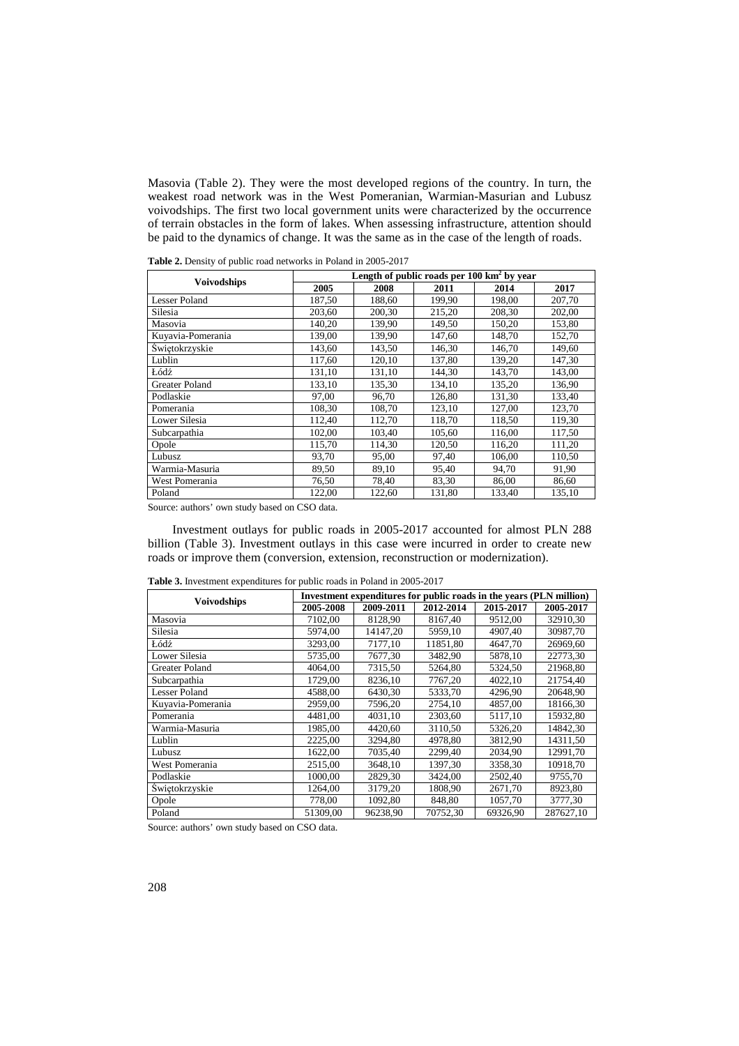Masovia (Table 2). They were the most developed regions of the country. In turn, the weakest road network was in the West Pomeranian, Warmian-Masurian and Lubusz voivodships. The first two local government units were characterized by the occurrence of terrain obstacles in the form of lakes. When assessing infrastructure, attention should be paid to the dynamics of change. It was the same as in the case of the length of roads.

|                       | Length of public roads per $100 \text{ km}^2$ by year |        |        |        |        |  |
|-----------------------|-------------------------------------------------------|--------|--------|--------|--------|--|
| <b>Voivodships</b>    | 2005                                                  | 2008   | 2011   | 2014   | 2017   |  |
| <b>Lesser Poland</b>  | 187,50                                                | 188,60 | 199,90 | 198,00 | 207,70 |  |
| Silesia               | 203,60                                                | 200,30 | 215,20 | 208,30 | 202,00 |  |
| Masovia               | 140,20                                                | 139,90 | 149,50 | 150,20 | 153,80 |  |
| Kuyavia-Pomerania     | 139,00                                                | 139,90 | 147,60 | 148,70 | 152,70 |  |
| Świętokrzyskie        | 143,60                                                | 143,50 | 146.30 | 146,70 | 149,60 |  |
| Lublin                | 117.60                                                | 120.10 | 137.80 | 139.20 | 147,30 |  |
| Łódź                  | 131,10                                                | 131,10 | 144,30 | 143,70 | 143,00 |  |
| <b>Greater Poland</b> | 133,10                                                | 135,30 | 134,10 | 135,20 | 136,90 |  |
| Podlaskie             | 97,00                                                 | 96,70  | 126,80 | 131,30 | 133,40 |  |
| Pomerania             | 108,30                                                | 108,70 | 123,10 | 127,00 | 123,70 |  |
| Lower Silesia         | 112,40                                                | 112,70 | 118,70 | 118,50 | 119,30 |  |
| Subcarpathia          | 102,00                                                | 103,40 | 105,60 | 116,00 | 117,50 |  |
| Opole                 | 115,70                                                | 114,30 | 120,50 | 116,20 | 111,20 |  |
| Lubusz                | 93,70                                                 | 95,00  | 97,40  | 106,00 | 110,50 |  |
| Warmia-Masuria        | 89,50                                                 | 89,10  | 95,40  | 94,70  | 91,90  |  |
| West Pomerania        | 76,50                                                 | 78,40  | 83,30  | 86,00  | 86,60  |  |
| Poland                | 122,00                                                | 122,60 | 131,80 | 133,40 | 135,10 |  |

**Table 2.** Density of public road networks in Poland in 2005-2017

Source: authors' own study based on CSO data.

Investment outlays for public roads in 2005-2017 accounted for almost PLN 288 billion (Table 3). Investment outlays in this case were incurred in order to create new roads or improve them (conversion, extension, reconstruction or modernization).

| <b>Voivodships</b>   | Investment expenditures for public roads in the years (PLN million) |           |           |           |           |  |
|----------------------|---------------------------------------------------------------------|-----------|-----------|-----------|-----------|--|
|                      | 2005-2008                                                           | 2009-2011 | 2012-2014 | 2015-2017 | 2005-2017 |  |
| Masovia              | 7102,00                                                             | 8128,90   | 8167,40   | 9512,00   | 32910,30  |  |
| Silesia              | 5974,00                                                             | 14147,20  | 5959,10   | 4907,40   | 30987,70  |  |
| Łódź                 | 3293,00                                                             | 7177,10   | 11851,80  | 4647,70   | 26969,60  |  |
| Lower Silesia        | 5735,00                                                             | 7677,30   | 3482,90   | 5878,10   | 22773,30  |  |
| Greater Poland       | 4064.00                                                             | 7315,50   | 5264.80   | 5324.50   | 21968,80  |  |
| Subcarpathia         | 1729,00                                                             | 8236.10   | 7767,20   | 4022,10   | 21754.40  |  |
| <b>Lesser Poland</b> | 4588,00                                                             | 6430.30   | 5333.70   | 4296.90   | 20648.90  |  |
| Kuyavia-Pomerania    | 2959,00                                                             | 7596,20   | 2754,10   | 4857,00   | 18166,30  |  |
| Pomerania            | 4481.00                                                             | 4031.10   | 2303.60   | 5117.10   | 15932,80  |  |
| Warmia-Masuria       | 1985,00                                                             | 4420,60   | 3110,50   | 5326,20   | 14842,30  |  |
| Lublin               | 2225,00                                                             | 3294.80   | 4978,80   | 3812,90   | 14311,50  |  |
| Lubusz               | 1622.00                                                             | 7035.40   | 2299.40   | 2034.90   | 12991.70  |  |
| West Pomerania       | 2515,00                                                             | 3648,10   | 1397,30   | 3358,30   | 10918,70  |  |
| Podlaskie            | 1000,00                                                             | 2829,30   | 3424,00   | 2502,40   | 9755,70   |  |
| Swietokrzyskie       | 1264,00                                                             | 3179,20   | 1808,90   | 2671,70   | 8923,80   |  |
| Opole                | 778,00                                                              | 1092,80   | 848,80    | 1057,70   | 3777,30   |  |
| Poland               | 51309,00                                                            | 96238,90  | 70752,30  | 69326,90  | 287627,10 |  |

**Table 3.** Investment expenditures for public roads in Poland in 2005-2017

Source: authors' own study based on CSO data.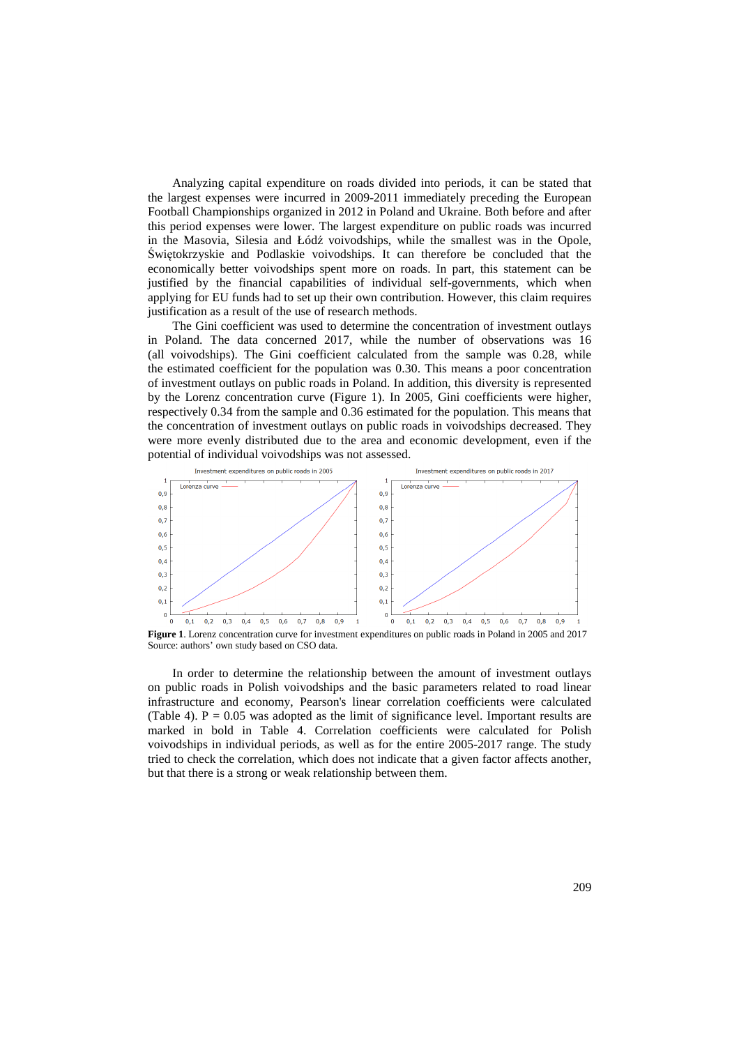Analyzing capital expenditure on roads divided into periods, it can be stated that the largest expenses were incurred in 2009-2011 immediately preceding the European Football Championships organized in 2012 in Poland and Ukraine. Both before and after this period expenses were lower. The largest expenditure on public roads was incurred in the Masovia, Silesia and Łódź voivodships, while the smallest was in the Opole, Świętokrzyskie and Podlaskie voivodships. It can therefore be concluded that the economically better voivodships spent more on roads. In part, this statement can be justified by the financial capabilities of individual self-governments, which when applying for EU funds had to set up their own contribution. However, this claim requires justification as a result of the use of research methods.

The Gini coefficient was used to determine the concentration of investment outlays in Poland. The data concerned 2017, while the number of observations was 16 (all voivodships). The Gini coefficient calculated from the sample was 0.28, while the estimated coefficient for the population was 0.30. This means a poor concentration of investment outlays on public roads in Poland. In addition, this diversity is represented by the Lorenz concentration curve (Figure 1). In 2005, Gini coefficients were higher, respectively 0.34 from the sample and 0.36 estimated for the population. This means that the concentration of investment outlays on public roads in voivodships decreased. They were more evenly distributed due to the area and economic development, even if the potential of individual voivodships was not assessed.



**Figure 1**. Lorenz concentration curve for investment expenditures on public roads in Poland in 2005 and 2017 Source: authors' own study based on CSO data.

In order to determine the relationship between the amount of investment outlays on public roads in Polish voivodships and the basic parameters related to road linear infrastructure and economy, Pearson's linear correlation coefficients were calculated (Table 4).  $P = 0.05$  was adopted as the limit of significance level. Important results are marked in bold in Table 4. Correlation coefficients were calculated for Polish voivodships in individual periods, as well as for the entire 2005-2017 range. The study tried to check the correlation, which does not indicate that a given factor affects another, but that there is a strong or weak relationship between them.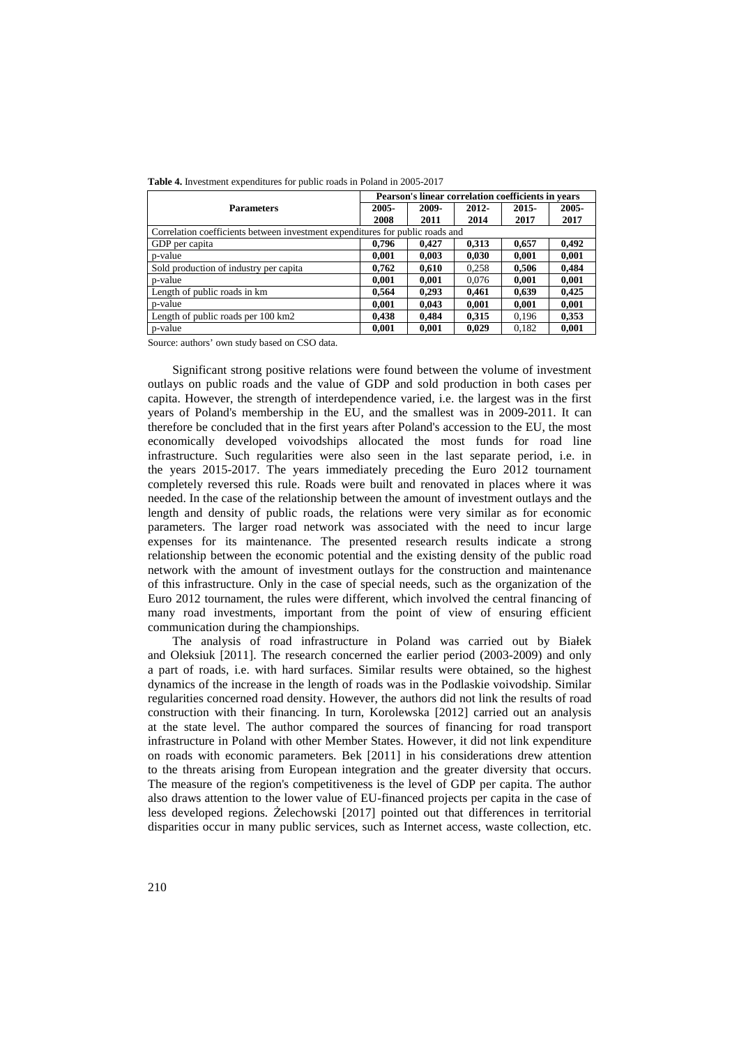|                                                                               |       | Pearson's linear correlation coefficients in years |          |       |       |  |  |
|-------------------------------------------------------------------------------|-------|----------------------------------------------------|----------|-------|-------|--|--|
| <b>Parameters</b>                                                             | 2005- | 2009-                                              | $2012 -$ | 2015- | 2005- |  |  |
|                                                                               | 2008  | 2011                                               | 2014     | 2017  | 2017  |  |  |
| Correlation coefficients between investment expenditures for public roads and |       |                                                    |          |       |       |  |  |
| GDP per capita                                                                | 0,796 | 0.427                                              | 0,313    | 0,657 | 0,492 |  |  |
| p-value                                                                       | 0,001 | 0,003                                              | 0.030    | 0.001 | 0.001 |  |  |
| Sold production of industry per capita                                        | 0,762 | 0.610                                              | 0,258    | 0.506 | 0.484 |  |  |
| p-value                                                                       | 0,001 | 0,001                                              | 0.076    | 0.001 | 0,001 |  |  |
| Length of public roads in km                                                  | 0,564 | 0,293                                              | 0.461    | 0,639 | 0,425 |  |  |
| p-value                                                                       | 0,001 | 0.043                                              | 0.001    | 0,001 | 0,001 |  |  |
| Length of public roads per 100 km2                                            | 0.438 | 0.484                                              | 0.315    | 0.196 | 0,353 |  |  |
| p-value                                                                       | 0,001 | 0,001                                              | 0,029    | 0,182 | 0,001 |  |  |

|  |  |  |  |  | <b>Table 4.</b> Investment expenditures for public roads in Poland in 2005-2017 |
|--|--|--|--|--|---------------------------------------------------------------------------------|
|--|--|--|--|--|---------------------------------------------------------------------------------|

Source: authors' own study based on CSO data.

Significant strong positive relations were found between the volume of investment outlays on public roads and the value of GDP and sold production in both cases per capita. However, the strength of interdependence varied, i.e. the largest was in the first years of Poland's membership in the EU, and the smallest was in 2009-2011. It can therefore be concluded that in the first years after Poland's accession to the EU, the most economically developed voivodships allocated the most funds for road line infrastructure. Such regularities were also seen in the last separate period, i.e. in the years 2015-2017. The years immediately preceding the Euro 2012 tournament completely reversed this rule. Roads were built and renovated in places where it was needed. In the case of the relationship between the amount of investment outlays and the length and density of public roads, the relations were very similar as for economic parameters. The larger road network was associated with the need to incur large expenses for its maintenance. The presented research results indicate a strong relationship between the economic potential and the existing density of the public road network with the amount of investment outlays for the construction and maintenance of this infrastructure. Only in the case of special needs, such as the organization of the Euro 2012 tournament, the rules were different, which involved the central financing of many road investments, important from the point of view of ensuring efficient communication during the championships.

The analysis of road infrastructure in Poland was carried out by Białek and Oleksiuk [2011]. The research concerned the earlier period (2003-2009) and only a part of roads, i.e. with hard surfaces. Similar results were obtained, so the highest dynamics of the increase in the length of roads was in the Podlaskie voivodship. Similar regularities concerned road density. However, the authors did not link the results of road construction with their financing. In turn, Korolewska [2012] carried out an analysis at the state level. The author compared the sources of financing for road transport infrastructure in Poland with other Member States. However, it did not link expenditure on roads with economic parameters. Bek [2011] in his considerations drew attention to the threats arising from European integration and the greater diversity that occurs. The measure of the region's competitiveness is the level of GDP per capita. The author also draws attention to the lower value of EU-financed projects per capita in the case of less developed regions. Żelechowski [2017] pointed out that differences in territorial disparities occur in many public services, such as Internet access, waste collection, etc.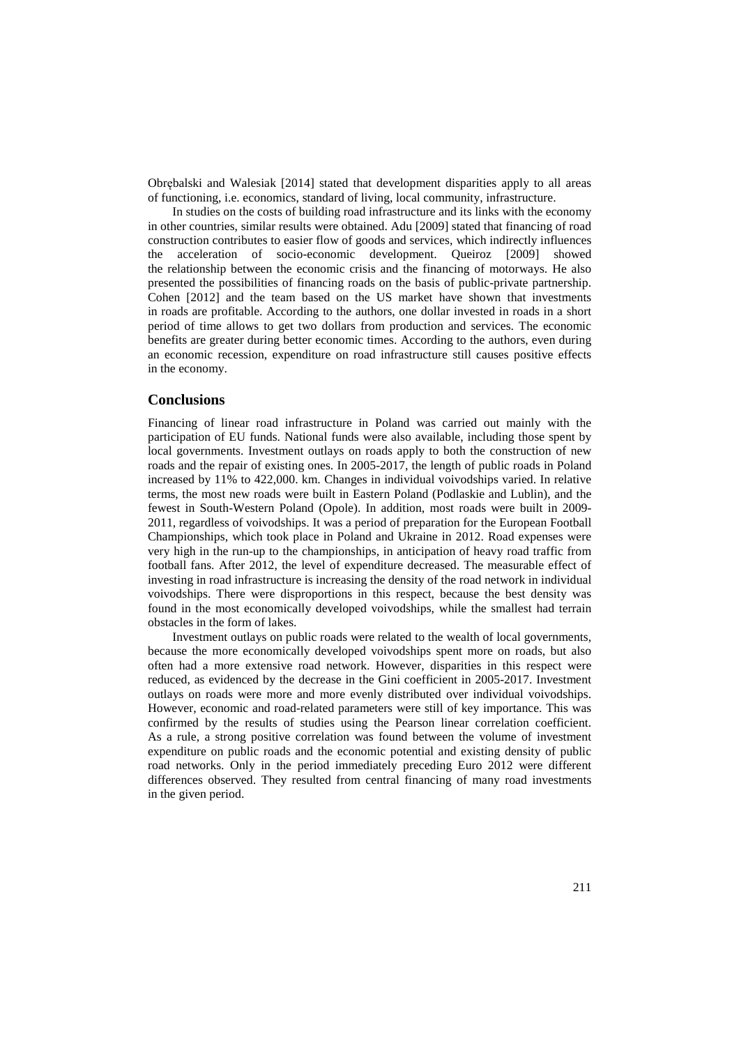Obrębalski and Walesiak [2014] stated that development disparities apply to all areas of functioning, i.e. economics, standard of living, local community, infrastructure.

In studies on the costs of building road infrastructure and its links with the economy in other countries, similar results were obtained. Adu [2009] stated that financing of road construction contributes to easier flow of goods and services, which indirectly influences the acceleration of socio-economic development. Queiroz [2009] showed the relationship between the economic crisis and the financing of motorways. He also presented the possibilities of financing roads on the basis of public-private partnership. Cohen [2012] and the team based on the US market have shown that investments in roads are profitable. According to the authors, one dollar invested in roads in a short period of time allows to get two dollars from production and services. The economic benefits are greater during better economic times. According to the authors, even during an economic recession, expenditure on road infrastructure still causes positive effects in the economy.

#### **Conclusions**

Financing of linear road infrastructure in Poland was carried out mainly with the participation of EU funds. National funds were also available, including those spent by local governments. Investment outlays on roads apply to both the construction of new roads and the repair of existing ones. In 2005-2017, the length of public roads in Poland increased by 11% to 422,000. km. Changes in individual voivodships varied. In relative terms, the most new roads were built in Eastern Poland (Podlaskie and Lublin), and the fewest in South-Western Poland (Opole). In addition, most roads were built in 2009- 2011, regardless of voivodships. It was a period of preparation for the European Football Championships, which took place in Poland and Ukraine in 2012. Road expenses were very high in the run-up to the championships, in anticipation of heavy road traffic from football fans. After 2012, the level of expenditure decreased. The measurable effect of investing in road infrastructure is increasing the density of the road network in individual voivodships. There were disproportions in this respect, because the best density was found in the most economically developed voivodships, while the smallest had terrain obstacles in the form of lakes.

Investment outlays on public roads were related to the wealth of local governments, because the more economically developed voivodships spent more on roads, but also often had a more extensive road network. However, disparities in this respect were reduced, as evidenced by the decrease in the Gini coefficient in 2005-2017. Investment outlays on roads were more and more evenly distributed over individual voivodships. However, economic and road-related parameters were still of key importance. This was confirmed by the results of studies using the Pearson linear correlation coefficient. As a rule, a strong positive correlation was found between the volume of investment expenditure on public roads and the economic potential and existing density of public road networks. Only in the period immediately preceding Euro 2012 were different differences observed. They resulted from central financing of many road investments in the given period.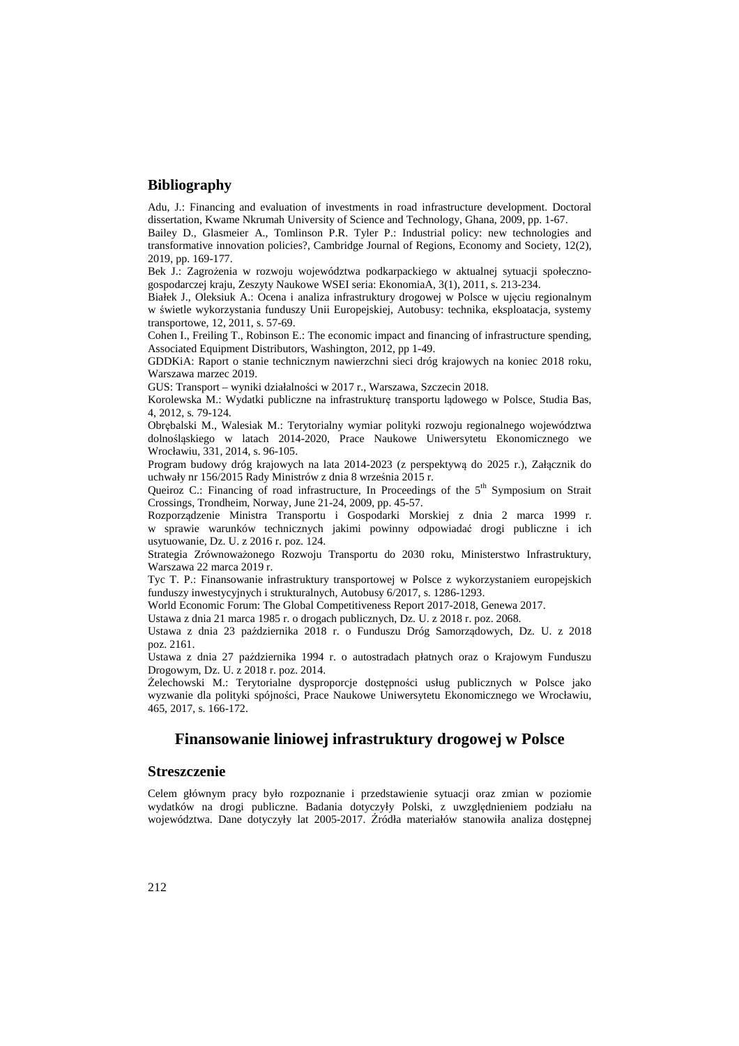## **Bibliography**

Adu, J.: Financing and evaluation of investments in road infrastructure development. Doctoral dissertation, Kwame Nkrumah University of Science and Technology, Ghana, 2009, pp. 1-67.

Bailey D., Glasmeier A., Tomlinson P.R. Tyler P.: Industrial policy: new technologies and transformative innovation policies?, Cambridge Journal of Regions, Economy and Society, 12(2), 2019, pp. 169-177.

Bek J.: Zagrożenia w rozwoju województwa podkarpackiego w aktualnej sytuacji społecznogospodarczej kraju, Zeszyty Naukowe WSEI seria: EkonomiaA, 3(1), 2011, s. 213-234.

Białek J., Oleksiuk A.: Ocena i analiza infrastruktury drogowej w Polsce w ujęciu regionalnym w świetle wykorzystania funduszy Unii Europejskiej, Autobusy: technika, eksploatacja, systemy transportowe, 12, 2011, s. 57-69.

Cohen I., Freiling T., Robinson E.: The economic impact and financing of infrastructure spending, Associated Equipment Distributors, Washington, 2012, pp 1-49.

GDDKiA: Raport o stanie technicznym nawierzchni sieci dróg krajowych na koniec 2018 roku, Warszawa marzec 2019.

GUS: Transport – wyniki działalności w 2017 r., Warszawa, Szczecin 2018.

Korolewska M.: Wydatki publiczne na infrastrukturę transportu lądowego w Polsce, Studia Bas, 4, 2012, s. 79-124.

Obrębalski M., Walesiak M.: Terytorialny wymiar polityki rozwoju regionalnego województwa dolnośląskiego w latach 2014-2020, Prace Naukowe Uniwersytetu Ekonomicznego we Wrocławiu, 331, 2014, s. 96-105.

Program budowy dróg krajowych na lata 2014-2023 (z perspektywą do 2025 r.), Załącznik do uchwały nr 156/2015 Rady Ministrów z dnia 8 września 2015 r.

Queiroz C.: Financing of road infrastructure, In Proceedings of the 5<sup>th</sup> Symposium on Strait Crossings, Trondheim, Norway, June 21-24, 2009, pp. 45-57.

Rozporządzenie Ministra Transportu i Gospodarki Morskiej z dnia 2 marca 1999 r. w sprawie warunków technicznych jakimi powinny odpowiadać drogi publiczne i ich usytuowanie, Dz. U. z 2016 r. poz. 124.

Strategia Zrównoważonego Rozwoju Transportu do 2030 roku, Ministerstwo Infrastruktury, Warszawa 22 marca 2019 r.

Tyc T. P.: Finansowanie infrastruktury transportowej w Polsce z wykorzystaniem europejskich funduszy inwestycyjnych i strukturalnych, Autobusy 6/2017, s. 1286-1293.

World Economic Forum: The Global Competitiveness Report 2017-2018, Genewa 2017.

Ustawa z dnia 21 marca 1985 r. o drogach publicznych, Dz. U. z 2018 r. poz. 2068.

Ustawa z dnia 23 października 2018 r. o Funduszu Dróg Samorządowych, Dz. U. z 2018 poz. 2161.

Ustawa z dnia 27 października 1994 r. o autostradach płatnych oraz o Krajowym Funduszu Drogowym, Dz. U. z 2018 r. poz. 2014.

Żelechowski M.: Terytorialne dysproporcje dostępności usług publicznych w Polsce jako wyzwanie dla polityki spójności, Prace Naukowe Uniwersytetu Ekonomicznego we Wrocławiu, 465, 2017, s. 166-172.

## **Finansowanie liniowej infrastruktury drogowej w Polsce**

## **Streszczenie**

Celem głównym pracy było rozpoznanie i przedstawienie sytuacji oraz zmian w poziomie wydatków na drogi publiczne. Badania dotyczyły Polski, z uwzględnieniem podziału na województwa. Dane dotyczyły lat 2005-2017. Źródła materiałów stanowiła analiza dostępnej